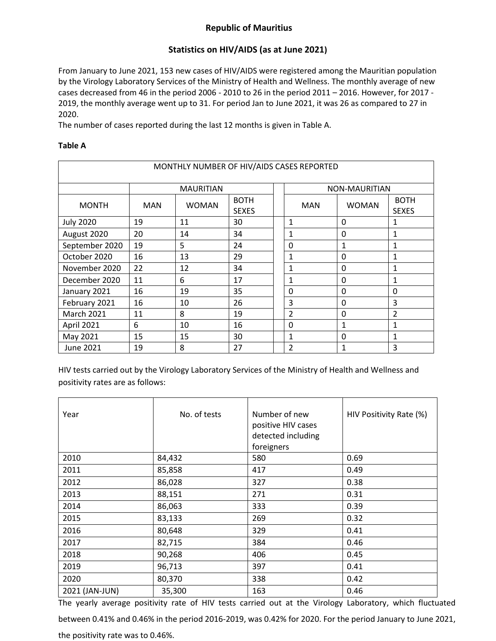## **Republic of Mauritius**

## **Statistics on HIV/AIDS (as at June 2021)**

From January to June 2021, 153 new cases of HIV/AIDS were registered among the Mauritian population by the Virology Laboratory Services of the Ministry of Health and Wellness. The monthly average of new cases decreased from 46 in the period 2006 - 2010 to 26 in the period 2011 – 2016. However, for 2017 - 2019, the monthly average went up to 31. For period Jan to June 2021, it was 26 as compared to 27 in 2020.

The number of cases reported during the last 12 months is given in Table A.

## **Table A**

| MONTHLY NUMBER OF HIV/AIDS CASES REPORTED |                  |              |                             |  |                |              |                             |  |
|-------------------------------------------|------------------|--------------|-----------------------------|--|----------------|--------------|-----------------------------|--|
|                                           | <b>MAURITIAN</b> |              |                             |  | NON-MAURITIAN  |              |                             |  |
| <b>MONTH</b>                              | <b>MAN</b>       | <b>WOMAN</b> | <b>BOTH</b><br><b>SEXES</b> |  | <b>MAN</b>     | <b>WOMAN</b> | <b>BOTH</b><br><b>SEXES</b> |  |
| <b>July 2020</b>                          | 19               | 11           | 30                          |  | $\mathbf{1}$   | $\Omega$     |                             |  |
| August 2020                               | 20               | 14           | 34                          |  | 1              | $\mathbf{0}$ | 1                           |  |
| September 2020                            | 19               | 5            | 24                          |  | $\mathbf 0$    | 1            | 1                           |  |
| October 2020                              | 16               | 13           | 29                          |  | $\mathbf{1}$   | 0            | 1                           |  |
| November 2020                             | 22               | 12           | 34                          |  | 1              | $\mathbf{0}$ | 1                           |  |
| December 2020                             | 11               | 6            | 17                          |  | $\mathbf{1}$   | $\mathbf{0}$ | 1                           |  |
| January 2021                              | 16               | 19           | 35                          |  | $\mathbf 0$    | $\Omega$     | $\mathbf{0}$                |  |
| February 2021                             | 16               | 10           | 26                          |  | 3              | $\mathbf{0}$ | 3                           |  |
| <b>March 2021</b>                         | 11               | 8            | 19                          |  | $\overline{2}$ | 0            | 2                           |  |
| April 2021                                | 6                | 10           | 16                          |  | 0              | 1            | 1                           |  |
| May 2021                                  | 15               | 15           | 30                          |  | 1              | $\mathbf{0}$ | 1                           |  |
| June 2021                                 | 19               | 8            | 27                          |  | $\overline{2}$ | 1            | 3                           |  |

HIV tests carried out by the Virology Laboratory Services of the Ministry of Health and Wellness and positivity rates are as follows:

| Year           | No. of tests | Number of new<br>positive HIV cases<br>detected including<br>foreigners | HIV Positivity Rate (%) |
|----------------|--------------|-------------------------------------------------------------------------|-------------------------|
| 2010           | 84,432       | 580                                                                     | 0.69                    |
| 2011           | 85,858       | 417                                                                     | 0.49                    |
| 2012           | 86,028       | 327                                                                     | 0.38                    |
| 2013           | 88,151       | 271                                                                     | 0.31                    |
| 2014           | 86,063       | 333                                                                     | 0.39                    |
| 2015           | 83,133       | 269                                                                     | 0.32                    |
| 2016           | 80,648       | 329                                                                     | 0.41                    |
| 2017           | 82,715       | 384                                                                     | 0.46                    |
| 2018           | 90,268       | 406                                                                     | 0.45                    |
| 2019           | 96,713       | 397                                                                     | 0.41                    |
| 2020           | 80,370       | 338                                                                     | 0.42                    |
| 2021 (JAN-JUN) | 35,300       | 163                                                                     | 0.46                    |

The yearly average positivity rate of HIV tests carried out at the Virology Laboratory, which fluctuated

between 0.41% and 0.46% in the period 2016-2019, was 0.42% for 2020. For the period January to June 2021,

the positivity rate was to 0.46%.